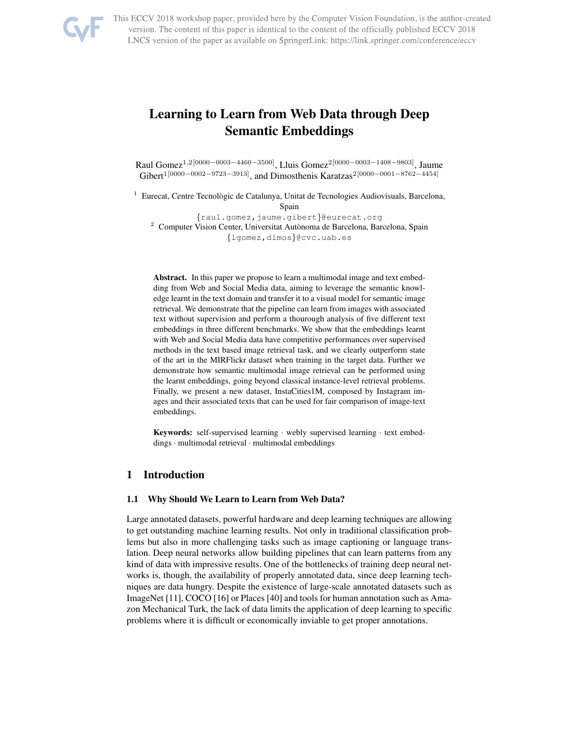

This ECCV 2018 workshop paper, provided here by the Computer Vision Foundation, is the author-created version. The content of this paper is identical to the content of the officially published ECCV 2018 LNCS version of the paper as available on SpringerLink: https://link.springer.com/conference/eccv

# Learning to Learn from Web Data through Deep Semantic Embeddings

Raul Gomez1,2[0000−0003−4460−3500], Lluis Gomez2[0000−0003−1408−9803], Jaume Gibert<sup>1</sup>[0000−0002−9723−3913], and Dimosthenis Karatzas<sup>2</sup>[0000−0001−8762−4454]

 $1$  Eurecat, Centre Tecnològic de Catalunya, Unitat de Tecnologies Audiovisuals, Barcelona,

Spain

{raul.gomez,jaume.gibert}@eurecat.org <sup>2</sup> Computer Vision Center, Universitat Autònoma de Barcelona, Barcelona, Spain {lgomez,dimos}@cvc.uab.es

Abstract. In this paper we propose to learn a multimodal image and text embedding from Web and Social Media data, aiming to leverage the semantic knowledge learnt in the text domain and transfer it to a visual model for semantic image retrieval. We demonstrate that the pipeline can learn from images with associated text without supervision and perform a thourough analysis of five different text embeddings in three different benchmarks. We show that the embeddings learnt with Web and Social Media data have competitive performances over supervised methods in the text based image retrieval task, and we clearly outperform state of the art in the MIRFlickr dataset when training in the target data. Further we demonstrate how semantic multimodal image retrieval can be performed using the learnt embeddings, going beyond classical instance-level retrieval problems. Finally, we present a new dataset, InstaCities1M, composed by Instagram images and their associated texts that can be used for fair comparison of image-text embeddings.

Keywords: self-supervised learning · webly supervised learning · text embeddings · multimodal retrieval · multimodal embeddings

## 1 Introduction

## 1.1 Why Should We Learn to Learn from Web Data?

Large annotated datasets, powerful hardware and deep learning techniques are allowing to get outstanding machine learning results. Not only in traditional classification problems but also in more challenging tasks such as image captioning or language translation. Deep neural networks allow building pipelines that can learn patterns from any kind of data with impressive results. One of the bottlenecks of training deep neural networks is, though, the availability of properly annotated data, since deep learning techniques are data hungry. Despite the existence of large-scale annotated datasets such as ImageNet [11], COCO [16] or Places [40] and tools for human annotation such as Amazon Mechanical Turk, the lack of data limits the application of deep learning to specific problems where it is difficult or economically inviable to get proper annotations.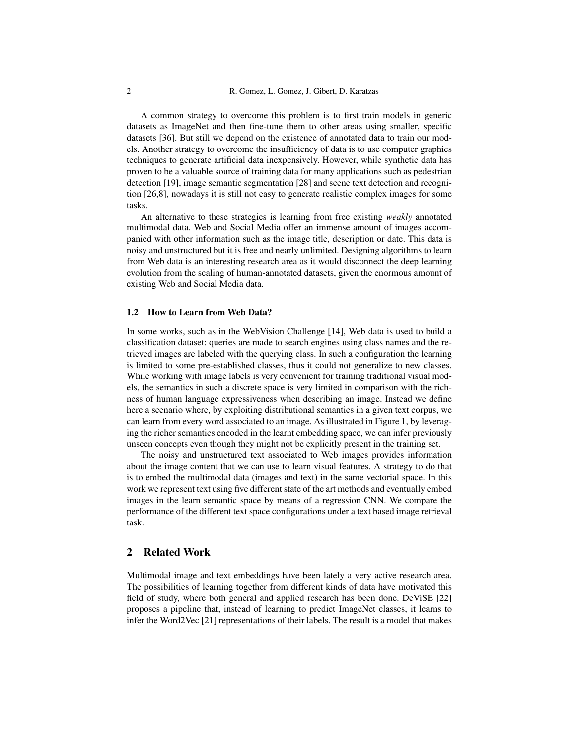A common strategy to overcome this problem is to first train models in generic datasets as ImageNet and then fine-tune them to other areas using smaller, specific datasets [36]. But still we depend on the existence of annotated data to train our models. Another strategy to overcome the insufficiency of data is to use computer graphics techniques to generate artificial data inexpensively. However, while synthetic data has proven to be a valuable source of training data for many applications such as pedestrian detection [19], image semantic segmentation [28] and scene text detection and recognition [26,8], nowadays it is still not easy to generate realistic complex images for some tasks.

An alternative to these strategies is learning from free existing *weakly* annotated multimodal data. Web and Social Media offer an immense amount of images accompanied with other information such as the image title, description or date. This data is noisy and unstructured but it is free and nearly unlimited. Designing algorithms to learn from Web data is an interesting research area as it would disconnect the deep learning evolution from the scaling of human-annotated datasets, given the enormous amount of existing Web and Social Media data.

#### 1.2 How to Learn from Web Data?

In some works, such as in the WebVision Challenge [14], Web data is used to build a classification dataset: queries are made to search engines using class names and the retrieved images are labeled with the querying class. In such a configuration the learning is limited to some pre-established classes, thus it could not generalize to new classes. While working with image labels is very convenient for training traditional visual models, the semantics in such a discrete space is very limited in comparison with the richness of human language expressiveness when describing an image. Instead we define here a scenario where, by exploiting distributional semantics in a given text corpus, we can learn from every word associated to an image. As illustrated in Figure 1, by leveraging the richer semantics encoded in the learnt embedding space, we can infer previously unseen concepts even though they might not be explicitly present in the training set.

The noisy and unstructured text associated to Web images provides information about the image content that we can use to learn visual features. A strategy to do that is to embed the multimodal data (images and text) in the same vectorial space. In this work we represent text using five different state of the art methods and eventually embed images in the learn semantic space by means of a regression CNN. We compare the performance of the different text space configurations under a text based image retrieval task.

#### 2 Related Work

Multimodal image and text embeddings have been lately a very active research area. The possibilities of learning together from different kinds of data have motivated this field of study, where both general and applied research has been done. DeViSE [22] proposes a pipeline that, instead of learning to predict ImageNet classes, it learns to infer the Word2Vec [21] representations of their labels. The result is a model that makes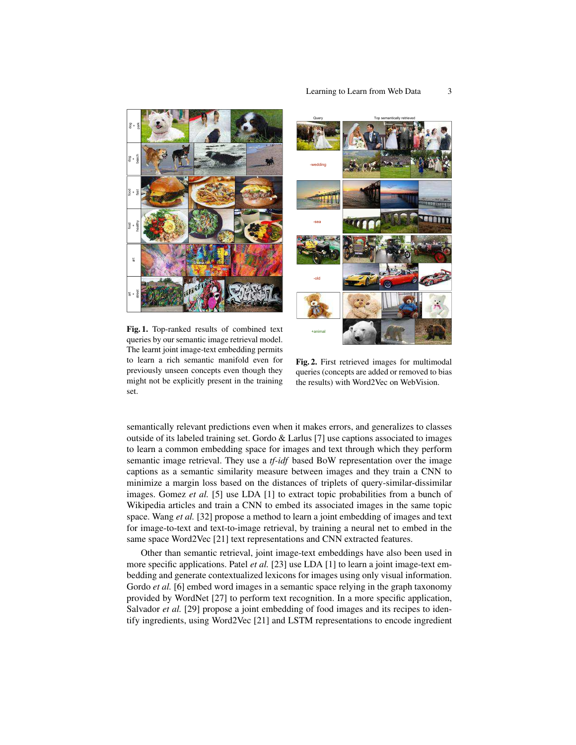



Fig. 1. Top-ranked results of combined text queries by our semantic image retrieval model. The learnt joint image-text embedding permits to learn a rich semantic manifold even for previously unseen concepts even though they might not be explicitly present in the training set.

Fig. 2. First retrieved images for multimodal queries (concepts are added or removed to bias the results) with Word2Vec on WebVision.

semantically relevant predictions even when it makes errors, and generalizes to classes outside of its labeled training set. Gordo & Larlus [7] use captions associated to images to learn a common embedding space for images and text through which they perform semantic image retrieval. They use a *tf-idf* based BoW representation over the image captions as a semantic similarity measure between images and they train a CNN to minimize a margin loss based on the distances of triplets of query-similar-dissimilar images. Gomez *et al.* [5] use LDA [1] to extract topic probabilities from a bunch of Wikipedia articles and train a CNN to embed its associated images in the same topic space. Wang *et al.* [32] propose a method to learn a joint embedding of images and text for image-to-text and text-to-image retrieval, by training a neural net to embed in the same space Word2Vec [21] text representations and CNN extracted features.

Other than semantic retrieval, joint image-text embeddings have also been used in more specific applications. Patel *et al.* [23] use LDA [1] to learn a joint image-text embedding and generate contextualized lexicons for images using only visual information. Gordo *et al.* [6] embed word images in a semantic space relying in the graph taxonomy provided by WordNet [27] to perform text recognition. In a more specific application, Salvador *et al.* [29] propose a joint embedding of food images and its recipes to identify ingredients, using Word2Vec [21] and LSTM representations to encode ingredient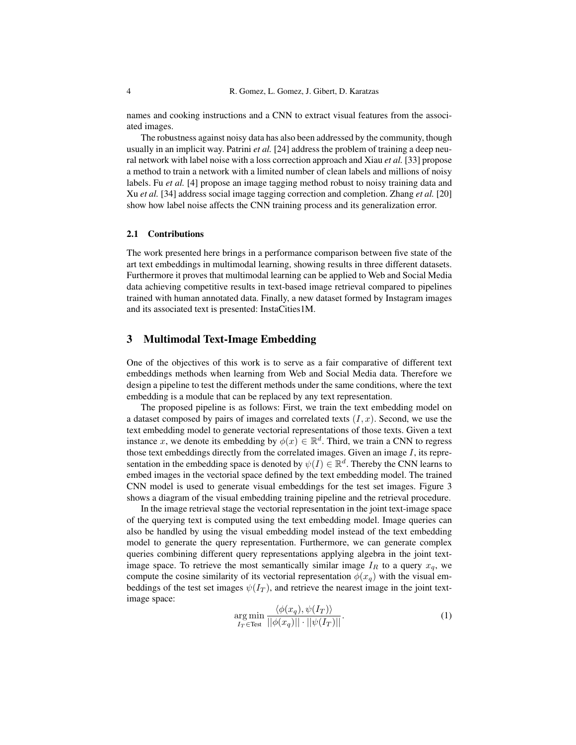names and cooking instructions and a CNN to extract visual features from the associated images.

The robustness against noisy data has also been addressed by the community, though usually in an implicit way. Patrini *et al.* [24] address the problem of training a deep neural network with label noise with a loss correction approach and Xiau *et al.* [33] propose a method to train a network with a limited number of clean labels and millions of noisy labels. Fu *et al.* [4] propose an image tagging method robust to noisy training data and Xu *et al.* [34] address social image tagging correction and completion. Zhang *et al.* [20] show how label noise affects the CNN training process and its generalization error.

#### 2.1 Contributions

The work presented here brings in a performance comparison between five state of the art text embeddings in multimodal learning, showing results in three different datasets. Furthermore it proves that multimodal learning can be applied to Web and Social Media data achieving competitive results in text-based image retrieval compared to pipelines trained with human annotated data. Finally, a new dataset formed by Instagram images and its associated text is presented: InstaCities1M.

#### 3 Multimodal Text-Image Embedding

One of the objectives of this work is to serve as a fair comparative of different text embeddings methods when learning from Web and Social Media data. Therefore we design a pipeline to test the different methods under the same conditions, where the text embedding is a module that can be replaced by any text representation.

The proposed pipeline is as follows: First, we train the text embedding model on a dataset composed by pairs of images and correlated texts  $(I, x)$ . Second, we use the text embedding model to generate vectorial representations of those texts. Given a text instance x, we denote its embedding by  $\phi(x) \in \mathbb{R}^d$ . Third, we train a CNN to regress those text embeddings directly from the correlated images. Given an image  $I$ , its representation in the embedding space is denoted by  $\psi(I) \in \mathbb{R}^d$ . Thereby the CNN learns to embed images in the vectorial space defined by the text embedding model. The trained CNN model is used to generate visual embeddings for the test set images. Figure 3 shows a diagram of the visual embedding training pipeline and the retrieval procedure.

In the image retrieval stage the vectorial representation in the joint text-image space of the querying text is computed using the text embedding model. Image queries can also be handled by using the visual embedding model instead of the text embedding model to generate the query representation. Furthermore, we can generate complex queries combining different query representations applying algebra in the joint textimage space. To retrieve the most semantically similar image  $I_R$  to a query  $x_q$ , we compute the cosine similarity of its vectorial representation  $\phi(x_q)$  with the visual embeddings of the test set images  $\psi(I_T)$ , and retrieve the nearest image in the joint textimage space:  $\frac{1}{2}$  is  $\frac{1}{2}$  if  $\frac{1}{2}$ 

$$
\underset{I_T \in \text{Test}}{\arg \min} \frac{\langle \phi(x_q), \psi(I_T) \rangle}{\|\phi(x_q)\| \cdot \|\psi(I_T)\|}. \tag{1}
$$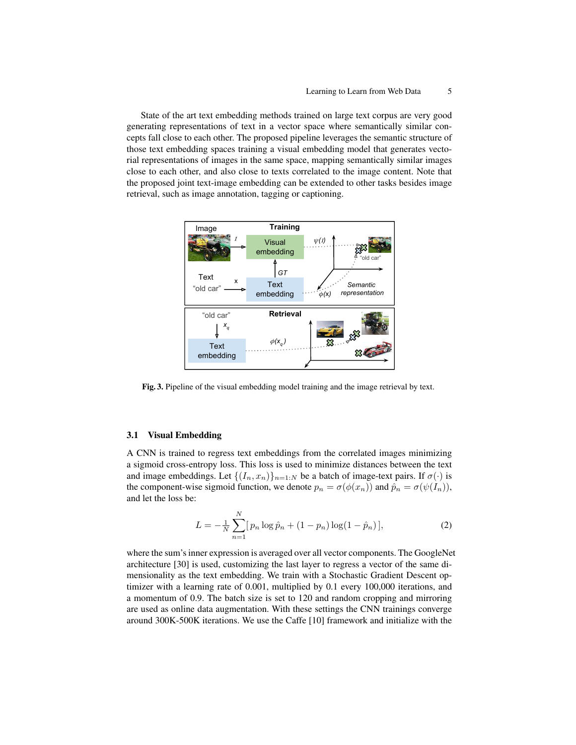State of the art text embedding methods trained on large text corpus are very good generating representations of text in a vector space where semantically similar concepts fall close to each other. The proposed pipeline leverages the semantic structure of those text embedding spaces training a visual embedding model that generates vectorial representations of images in the same space, mapping semantically similar images close to each other, and also close to texts correlated to the image content. Note that the proposed joint text-image embedding can be extended to other tasks besides image retrieval, such as image annotation, tagging or captioning.



Fig. 3. Pipeline of the visual embedding model training and the image retrieval by text.

#### 3.1 Visual Embedding

A CNN is trained to regress text embeddings from the correlated images minimizing a sigmoid cross-entropy loss. This loss is used to minimize distances between the text and image embeddings. Let  $\{(I_n, x_n)\}_{n=1:N}$  be a batch of image-text pairs. If  $\sigma(\cdot)$  is the component-wise sigmoid function, we denote  $p_n = \sigma(\phi(x_n))$  and  $\hat{p}_n = \sigma(\psi(I_n))$ , and let the loss be:

$$
L = -\frac{1}{N} \sum_{n=1}^{N} [p_n \log \hat{p}_n + (1 - p_n) \log(1 - \hat{p}_n)],
$$
\n(2)

where the sum's inner expression is averaged over all vector components. The GoogleNet architecture [30] is used, customizing the last layer to regress a vector of the same dimensionality as the text embedding. We train with a Stochastic Gradient Descent optimizer with a learning rate of 0.001, multiplied by 0.1 every 100,000 iterations, and a momentum of 0.9. The batch size is set to 120 and random cropping and mirroring are used as online data augmentation. With these settings the CNN trainings converge around 300K-500K iterations. We use the Caffe [10] framework and initialize with the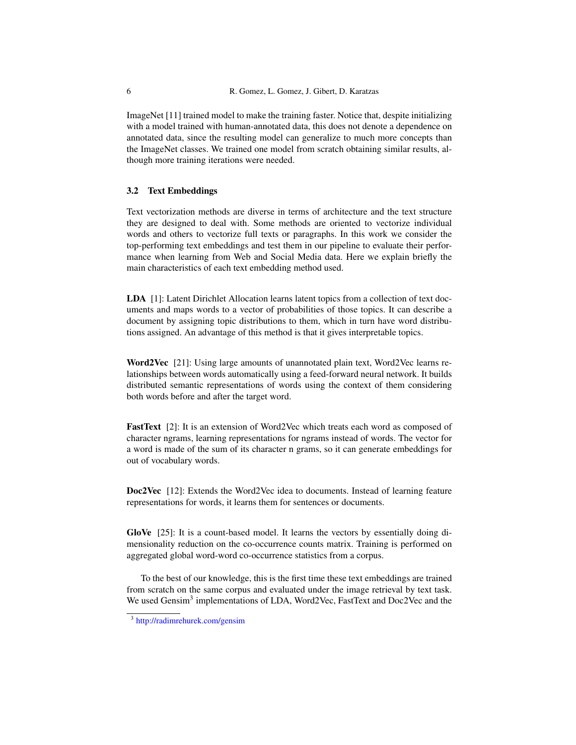ImageNet [11] trained model to make the training faster. Notice that, despite initializing with a model trained with human-annotated data, this does not denote a dependence on annotated data, since the resulting model can generalize to much more concepts than the ImageNet classes. We trained one model from scratch obtaining similar results, although more training iterations were needed.

#### 3.2 Text Embeddings

Text vectorization methods are diverse in terms of architecture and the text structure they are designed to deal with. Some methods are oriented to vectorize individual words and others to vectorize full texts or paragraphs. In this work we consider the top-performing text embeddings and test them in our pipeline to evaluate their performance when learning from Web and Social Media data. Here we explain briefly the main characteristics of each text embedding method used.

LDA [1]: Latent Dirichlet Allocation learns latent topics from a collection of text documents and maps words to a vector of probabilities of those topics. It can describe a document by assigning topic distributions to them, which in turn have word distributions assigned. An advantage of this method is that it gives interpretable topics.

Word2Vec [21]: Using large amounts of unannotated plain text, Word2Vec learns relationships between words automatically using a feed-forward neural network. It builds distributed semantic representations of words using the context of them considering both words before and after the target word.

FastText [2]: It is an extension of Word2Vec which treats each word as composed of character ngrams, learning representations for ngrams instead of words. The vector for a word is made of the sum of its character n grams, so it can generate embeddings for out of vocabulary words.

Doc2Vec [12]: Extends the Word2Vec idea to documents. Instead of learning feature representations for words, it learns them for sentences or documents.

GloVe [25]: It is a count-based model. It learns the vectors by essentially doing dimensionality reduction on the co-occurrence counts matrix. Training is performed on aggregated global word-word co-occurrence statistics from a corpus.

To the best of our knowledge, this is the first time these text embeddings are trained from scratch on the same corpus and evaluated under the image retrieval by text task. We used Gensim<sup>3</sup> implementations of LDA, Word2Vec, FastText and Doc2Vec and the

<sup>3</sup> http://radimrehurek.com/gensim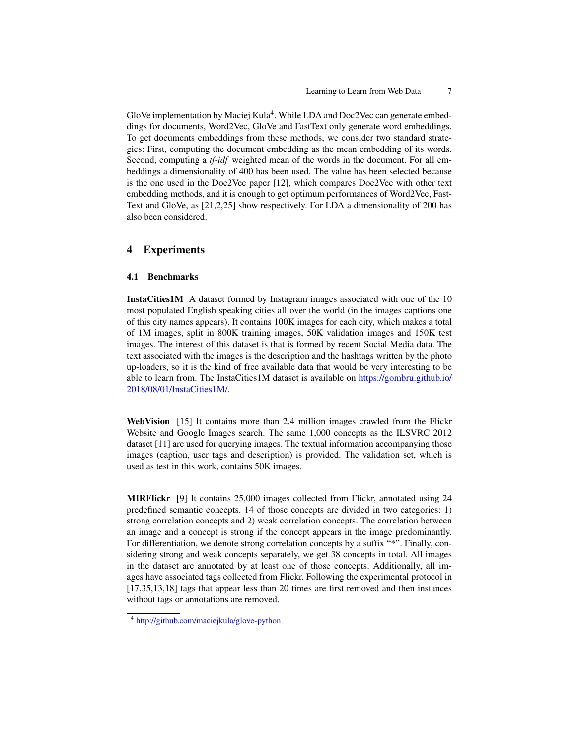GloVe implementation by Maciej Kula<sup>4</sup>. While LDA and Doc2Vec can generate embeddings for documents, Word2Vec, GloVe and FastText only generate word embeddings. To get documents embeddings from these methods, we consider two standard strategies: First, computing the document embedding as the mean embedding of its words. Second, computing a *tf-idf* weighted mean of the words in the document. For all embeddings a dimensionality of 400 has been used. The value has been selected because is the one used in the Doc2Vec paper [12], which compares Doc2Vec with other text embedding methods, and it is enough to get optimum performances of Word2Vec, Fast-Text and GloVe, as [21,2,25] show respectively. For LDA a dimensionality of 200 has also been considered.

## 4 Experiments

#### 4.1 Benchmarks

InstaCities1M A dataset formed by Instagram images associated with one of the 10 most populated English speaking cities all over the world (in the images captions one of this city names appears). It contains 100K images for each city, which makes a total of 1M images, split in 800K training images, 50K validation images and 150K test images. The interest of this dataset is that is formed by recent Social Media data. The text associated with the images is the description and the hashtags written by the photo up-loaders, so it is the kind of free available data that would be very interesting to be able to learn from. The InstaCities1M dataset is available on https://gombru.github.io/ 2018/08/01/InstaCities1M/.

WebVision [15] It contains more than 2.4 million images crawled from the Flickr Website and Google Images search. The same 1,000 concepts as the ILSVRC 2012 dataset [11] are used for querying images. The textual information accompanying those images (caption, user tags and description) is provided. The validation set, which is used as test in this work, contains 50K images.

MIRFlickr [9] It contains 25,000 images collected from Flickr, annotated using 24 predefined semantic concepts. 14 of those concepts are divided in two categories: 1) strong correlation concepts and 2) weak correlation concepts. The correlation between an image and a concept is strong if the concept appears in the image predominantly. For differentiation, we denote strong correlation concepts by a suffix "\*". Finally, considering strong and weak concepts separately, we get 38 concepts in total. All images in the dataset are annotated by at least one of those concepts. Additionally, all images have associated tags collected from Flickr. Following the experimental protocol in [17,35,13,18] tags that appear less than 20 times are first removed and then instances without tags or annotations are removed.

<sup>4</sup> http://github.com/maciejkula/glove-python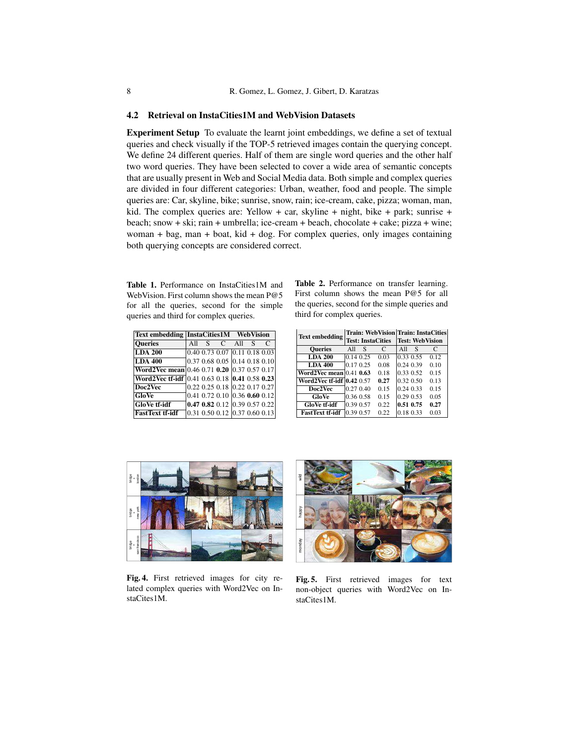#### 4.2 Retrieval on InstaCities1M and WebVision Datasets

Experiment Setup To evaluate the learnt joint embeddings, we define a set of textual queries and check visually if the TOP-5 retrieved images contain the querying concept. We define 24 different queries. Half of them are single word queries and the other half two word queries. They have been selected to cover a wide area of semantic concepts that are usually present in Web and Social Media data. Both simple and complex queries are divided in four different categories: Urban, weather, food and people. The simple queries are: Car, skyline, bike; sunrise, snow, rain; ice-cream, cake, pizza; woman, man, kid. The complex queries are: Yellow + car, skyline + night, bike + park; sunrise + beach; snow + ski; rain + umbrella; ice-cream + beach, chocolate + cake; pizza + wine; woman + bag, man + boat, kid + dog. For complex queries, only images containing both querying concepts are considered correct.

Table 1. Performance on InstaCities1M and WebVision. First column shows the mean P@5 for all the queries, second for the simple queries and third for complex queries.

| Text embedding   InstaCities1M   WebVision    |  |                                                                   |  |  |
|-----------------------------------------------|--|-------------------------------------------------------------------|--|--|
| <b>Queries</b>                                |  | All S $C$   All S $C$                                             |  |  |
| <b>LDA 200</b>                                |  | $0.40$ 0.73 0.07 $\overline{0.11}$ 0.18 0.03                      |  |  |
| <b>LDA 400</b>                                |  | $\left 0.37\ 0.68\ 0.05\ 0.14\ 0.18\ 0.10\right $                 |  |  |
| Word2Vec mean 0.46 0.71 0.20 0.37 0.57 0.17   |  |                                                                   |  |  |
| Word2Vec tf-idf 0.41 0.63 0.18 0.41 0.58 0.23 |  |                                                                   |  |  |
| Doc2Vec                                       |  | 0.22 0.25 0.18 0.22 0.17 0.27                                     |  |  |
| <b>GloVe</b>                                  |  | $[0.41 \ 0.72 \ 0.10 \ 0.36 \ 0.60 \ 0.12]$                       |  |  |
| <b>GloVe tf-idf</b>                           |  | $\left 0.47\right 0.82\left 0.12\right 0.39\left 0.57\right 0.22$ |  |  |
| <b>FastText tf-idf</b>                        |  | $\vert 0.31 \; 0.50 \; 0.12 \; \vert 0.37 \; 0.60 \; 0.13 \vert$  |  |  |

Table 2. Performance on transfer learning. First column shows the mean P@5 for all the queries, second for the simple queries and third for complex queries.

| <b>Text embedding</b>     |                          |           | <b>Train: WebVision Train: InstaCities</b> |                        |           |      |
|---------------------------|--------------------------|-----------|--------------------------------------------|------------------------|-----------|------|
|                           | <b>Test: InstaCities</b> |           |                                            | <b>Test: WebVision</b> |           |      |
| <b>Oueries</b>            | A11                      | S         | C                                          | A11                    | S         | C    |
| <b>LDA 200</b>            |                          | 0.14 0.25 | 0.03                                       | 0.33 0.55              |           | 0.12 |
| <b>LDA 400</b>            |                          | 0.17 0.25 | 0.08                                       |                        | 0.24 0.39 | 0.10 |
| Word2Vec mean $0.41$ 0.63 |                          |           | 0.18                                       |                        | 0.33 0.52 | 0.15 |
| Word2Vec tf-idf 0.42 0.57 |                          |           | 0.27                                       |                        | 0.32 0.50 | 0.13 |
| Doc2Vec                   |                          | 0.270.40  | 0.15                                       |                        | 0.24 0.33 | 0.15 |
| GloVe                     |                          | 0.36 0.58 | 0.15                                       |                        | 0.29 0.53 | 0.05 |
| GloVe tf-idf              |                          | 0.39 0.57 | 0.22                                       |                        | 0.51 0.75 | 0.27 |
| <b>FastText tf-idf</b>    |                          | 0.39 0.57 | 0.22                                       | 0.18 0.33              |           | 0.03 |



Fig. 4. First retrieved images for city related complex queries with Word2Vec on InstaCites1M.



Fig. 5. First retrieved images for text non-object queries with Word2Vec on InstaCites1M.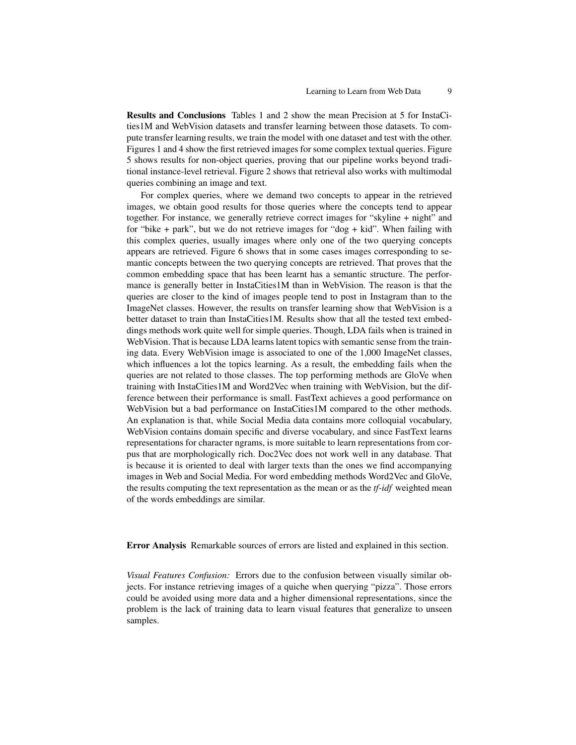Results and Conclusions Tables 1 and 2 show the mean Precision at 5 for InstaCities1M and WebVision datasets and transfer learning between those datasets. To compute transfer learning results, we train the model with one dataset and test with the other. Figures 1 and 4 show the first retrieved images for some complex textual queries. Figure 5 shows results for non-object queries, proving that our pipeline works beyond traditional instance-level retrieval. Figure 2 shows that retrieval also works with multimodal queries combining an image and text.

For complex queries, where we demand two concepts to appear in the retrieved images, we obtain good results for those queries where the concepts tend to appear together. For instance, we generally retrieve correct images for "skyline + night" and for "bike + park", but we do not retrieve images for "dog + kid". When failing with this complex queries, usually images where only one of the two querying concepts appears are retrieved. Figure 6 shows that in some cases images corresponding to semantic concepts between the two querying concepts are retrieved. That proves that the common embedding space that has been learnt has a semantic structure. The performance is generally better in InstaCities1M than in WebVision. The reason is that the queries are closer to the kind of images people tend to post in Instagram than to the ImageNet classes. However, the results on transfer learning show that WebVision is a better dataset to train than InstaCities1M. Results show that all the tested text embeddings methods work quite well for simple queries. Though, LDA fails when is trained in WebVision. That is because LDA learns latent topics with semantic sense from the training data. Every WebVision image is associated to one of the 1,000 ImageNet classes, which influences a lot the topics learning. As a result, the embedding fails when the queries are not related to those classes. The top performing methods are GloVe when training with InstaCities1M and Word2Vec when training with WebVision, but the difference between their performance is small. FastText achieves a good performance on WebVision but a bad performance on InstaCities1M compared to the other methods. An explanation is that, while Social Media data contains more colloquial vocabulary, WebVision contains domain specific and diverse vocabulary, and since FastText learns representations for character ngrams, is more suitable to learn representations from corpus that are morphologically rich. Doc2Vec does not work well in any database. That is because it is oriented to deal with larger texts than the ones we find accompanying images in Web and Social Media. For word embedding methods Word2Vec and GloVe, the results computing the text representation as the mean or as the *tf-idf* weighted mean of the words embeddings are similar.

Error Analysis Remarkable sources of errors are listed and explained in this section.

*Visual Features Confusion:* Errors due to the confusion between visually similar objects. For instance retrieving images of a quiche when querying "pizza". Those errors could be avoided using more data and a higher dimensional representations, since the problem is the lack of training data to learn visual features that generalize to unseen samples.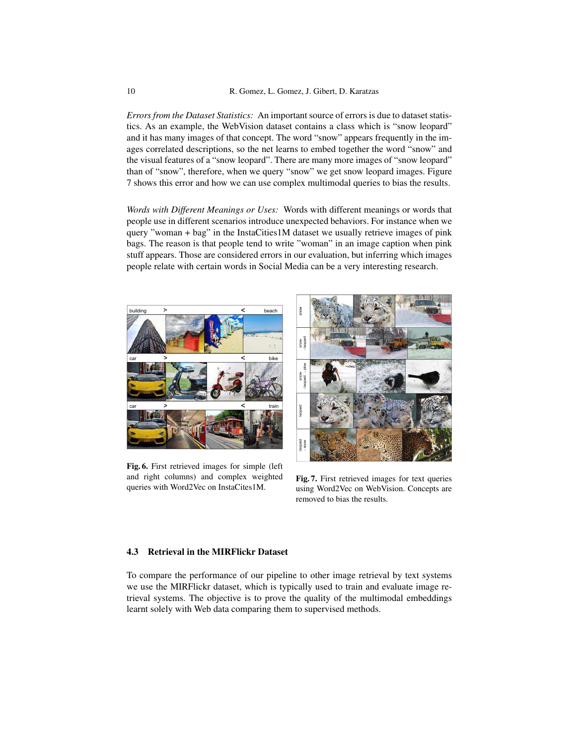*Errors from the Dataset Statistics:* An important source of errors is due to dataset statistics. As an example, the WebVision dataset contains a class which is "snow leopard" and it has many images of that concept. The word "snow" appears frequently in the images correlated descriptions, so the net learns to embed together the word "snow" and the visual features of a "snow leopard". There are many more images of "snow leopard" than of "snow", therefore, when we query "snow" we get snow leopard images. Figure 7 shows this error and how we can use complex multimodal queries to bias the results.

*Words with Different Meanings or Uses:* Words with different meanings or words that people use in different scenarios introduce unexpected behaviors. For instance when we query "woman + bag" in the InstaCities1M dataset we usually retrieve images of pink bags. The reason is that people tend to write "woman" in an image caption when pink stuff appears. Those are considered errors in our evaluation, but inferring which images people relate with certain words in Social Media can be a very interesting research.



Fig. 6. First retrieved images for simple (left and right columns) and complex weighted queries with Word2Vec on InstaCites1M.



Fig. 7. First retrieved images for text queries using Word2Vec on WebVision. Concepts are removed to bias the results.

#### 4.3 Retrieval in the MIRFlickr Dataset

To compare the performance of our pipeline to other image retrieval by text systems we use the MIRFlickr dataset, which is typically used to train and evaluate image retrieval systems. The objective is to prove the quality of the multimodal embeddings learnt solely with Web data comparing them to supervised methods.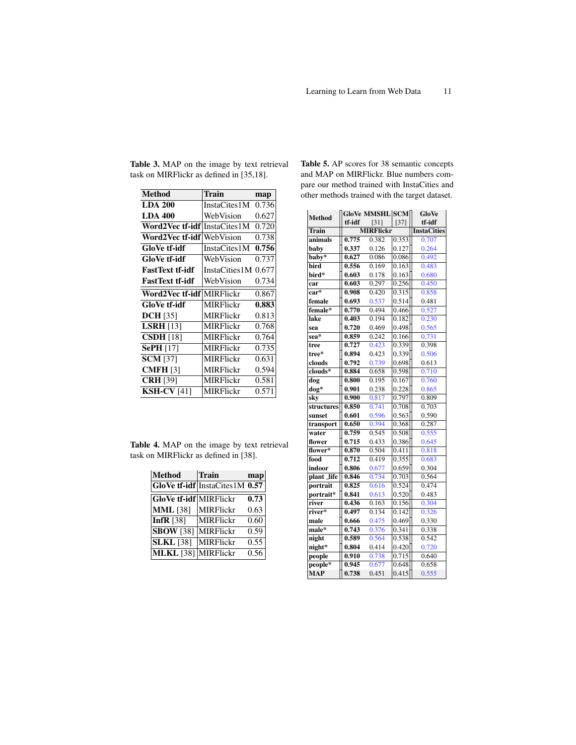| Method                           | Train            | map   |
|----------------------------------|------------------|-------|
| <b>LDA 200</b>                   | InstaCites1M     | 0.736 |
| <b>LDA 400</b>                   | WebVision        | 0.627 |
| Word2Vec tf-idf                  | InstaCites1M     | 0.720 |
| <b>Word2Vec tf-idf</b> WebVision |                  | 0.738 |
| GloVe tf-idf                     | InstaCites1M     | 0.756 |
| <b>GloVe tf-idf</b>              | WebVision        | 0.737 |
| <b>FastText tf-idf</b>           | InstaCities1M    | 0.677 |
| <b>FastText tf-idf</b>           | WebVision        | 0.734 |
| <b>Word2Vec tf-idf MIRFlickr</b> |                  | 0.867 |
| GloVe tf-idf                     | MIRFlickr        | 0.883 |
| <b>DCH</b> [35]                  | MIRFlickr        | 0.813 |
| $LSRH$ [13]                      | MIRFlickr        | 0.768 |
| <b>CSDH</b> [18]                 | MIRFlickr        | 0.764 |
| <b>SePH [17]</b>                 | <b>MIRFlickr</b> | 0.735 |
| <b>SCM</b> [37]                  | MIRFlickr        | 0.631 |
| <b>CMFH</b> $[3]$                | MIRFlickr        | 0.594 |
| <b>CRH [39]</b>                  | MIRFlickr        | 0.581 |
| <b>KSH-CV</b> [41]               | MIRFlickr        | 0.571 |

Table 3. MAP on the image by text retrieval task on MIRFlickr as defined in [35,18].

Table 4. MAP on the image by text retrieval task on MIRFlickr as defined in [38].

| <b>Method</b>          | <b>Train</b>                     | map  |
|------------------------|----------------------------------|------|
|                        | <b>GloVe tf-idf</b> InstaCites1M | 0.57 |
| GloVe tf-idf MIRFlickr |                                  | 0.73 |
| <b>MML</b> [38]        | <b>MIRFlickr</b>                 | 0.63 |
| <b>InfR</b> [38]       | <b>MIRFlickr</b>                 | 0.60 |
| <b>SBOW</b> [38]       | <b>MIRFlickr</b>                 | 0.59 |
| <b>SLKL</b> [38]       | <b>MIRFlickr</b>                 | 0.55 |
| <b>MLKL</b> [38]       | MIRFlickr                        | 0.56 |

Table 5. AP scores for 38 semantic concepts and MAP on MIRFlickr. Blue numbers compare our method trained with InstaCities and other methods trained with the target dataset.

| <b>Method</b>              |                  | <b>GloVe MMSHL SCM</b> |       | GloVe              |  |
|----------------------------|------------------|------------------------|-------|--------------------|--|
|                            | tf-idf           | [31]                   | [37]  | tf-idf             |  |
| Train                      | <b>MIRFlickr</b> |                        |       | <b>InstaCities</b> |  |
| animals                    | 0.775            | 0.382                  | 0.353 | 0.707              |  |
| baby                       | 0.337            | 0.126                  | 0.127 | 0.264              |  |
| $\overline{\text{babv}}^*$ | 0.627            | 0.086                  | 0.086 | 0.492              |  |
| bird                       | 0.556            | 0.169                  | 0.163 | 0.483              |  |
| $\overline{\text{bird*}}$  | 0.603            | 0.178                  | 0.163 | 0.680              |  |
| car                        | 0.603            | 0.297                  | 0.256 | 0.450              |  |
| car*                       | 0.908            | 0.420                  | 0.315 | 0.858              |  |
| female                     | 0.693            | 0.537                  | 0.514 | 0.481              |  |
| female*                    | 0.770            | 0.494                  | 0.466 | 0.527              |  |
| lake                       | 0.403            | 0.194                  | 0.182 | 0.230              |  |
| sea                        | 0.720            | 0.469                  | 0.498 | 0.565              |  |
| sea*                       | 0.859            | 0.242                  | 0.166 | 0.731              |  |
| tree                       | 0.727            | 0.423                  | 0.339 | 0.398              |  |
| tree*                      | 0.894            | 0.423                  | 0.339 | 0.506              |  |
| clouds                     | 0.792            | 0.739                  | 0.698 | 0.613              |  |
| clouds*                    | 0.884            | 0.658                  | 0.598 | 0.710              |  |
| dog                        | 0.800            | 0.195                  | 0.167 | 0.760              |  |
| dog*                       | 0.901            | 0.238                  | 0.228 | 0.865              |  |
| sky                        | 0.900            | 0.817                  | 0.797 | 0.809              |  |
| structures                 | 0.850            | 0.741                  | 0.708 | 0.703              |  |
| sunset                     | 0.601            | 0.596                  | 0.563 | 0.590              |  |
| transport                  | 0.650            | 0.394                  | 0.368 | 0.287              |  |
| water                      | 0.759            | 0.545                  | 0.508 | 0.555              |  |
| flower                     | 0.715            | 0.433                  | 0.386 | 0.645              |  |
| flower*                    | 0.870            | 0.504                  | 0.411 | 0.818              |  |
| food                       | 0.712            | 0.419                  | 0.355 | 0.683              |  |
| indoor                     | 0.806            | 0.677                  | 0.659 | 0.304              |  |
| plant life                 | 0.846            | 0.734                  | 0.703 | 0.564              |  |
| portrait                   | 0.825            | 0.616                  | 0.524 | 0.474              |  |
| portrait*                  | 0.841            | 0.613                  | 0.520 | 0.483              |  |
| river                      | 0.436            | 0.163                  | 0.156 | 0.304              |  |
| river*                     | 0.497            | 0.134                  | 0.142 | 0.326              |  |
| male                       | 0.666            | 0.475                  | 0.469 | 0.330              |  |
| $male*$                    | 0.743            | 0.376                  | 0.341 | 0.338              |  |
| night                      | 0.589            | 0.564                  | 0.538 | 0.542              |  |
| night*                     | 0.804            | 0.414                  | 0.420 | 0.720              |  |
| people                     | 0.910            | 0.738                  | 0.715 | 0.640              |  |
| people*                    | 0.945            | 0.677                  | 0.648 | 0.658              |  |
| <b>MAP</b>                 | 0.738            | 0.451                  | 0.415 | 0.555              |  |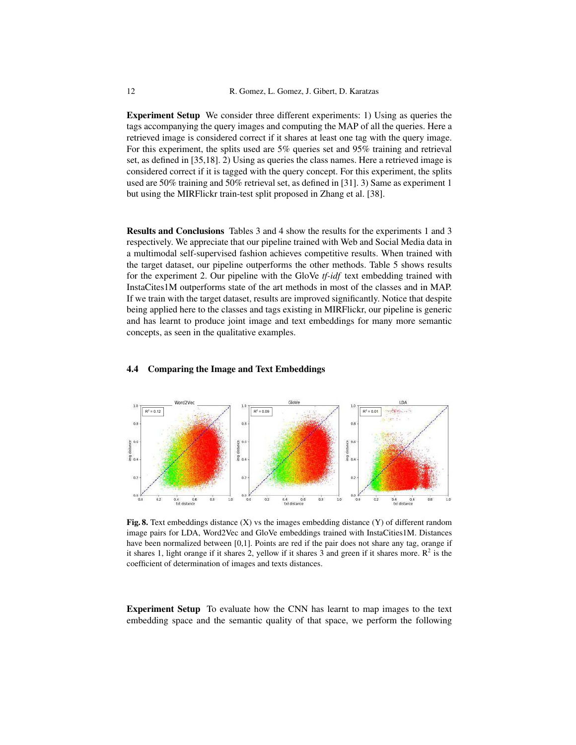Experiment Setup We consider three different experiments: 1) Using as queries the tags accompanying the query images and computing the MAP of all the queries. Here a retrieved image is considered correct if it shares at least one tag with the query image. For this experiment, the splits used are 5% queries set and 95% training and retrieval set, as defined in [35,18]. 2) Using as queries the class names. Here a retrieved image is considered correct if it is tagged with the query concept. For this experiment, the splits used are 50% training and 50% retrieval set, as defined in [31]. 3) Same as experiment 1 but using the MIRFlickr train-test split proposed in Zhang et al. [38].

Results and Conclusions Tables 3 and 4 show the results for the experiments 1 and 3 respectively. We appreciate that our pipeline trained with Web and Social Media data in a multimodal self-supervised fashion achieves competitive results. When trained with the target dataset, our pipeline outperforms the other methods. Table 5 shows results for the experiment 2. Our pipeline with the GloVe *tf-idf* text embedding trained with InstaCites1M outperforms state of the art methods in most of the classes and in MAP. If we train with the target dataset, results are improved significantly. Notice that despite being applied here to the classes and tags existing in MIRFlickr, our pipeline is generic and has learnt to produce joint image and text embeddings for many more semantic concepts, as seen in the qualitative examples.



#### 4.4 Comparing the Image and Text Embeddings

Fig. 8. Text embeddings distance  $(X)$  vs the images embedding distance  $(Y)$  of different random image pairs for LDA, Word2Vec and GloVe embeddings trained with InstaCities1M. Distances have been normalized between [0,1]. Points are red if the pair does not share any tag, orange if it shares 1, light orange if it shares 2, yellow if it shares 3 and green if it shares more.  $R^2$  is the coefficient of determination of images and texts distances.

Experiment Setup To evaluate how the CNN has learnt to map images to the text embedding space and the semantic quality of that space, we perform the following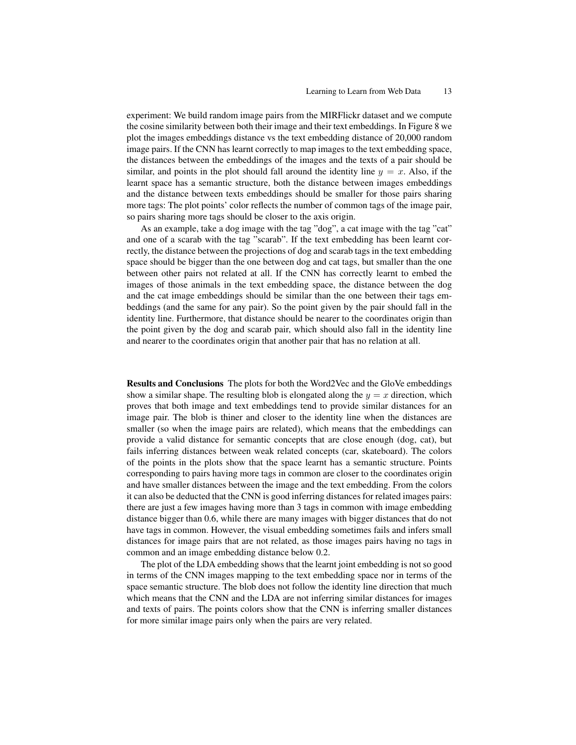experiment: We build random image pairs from the MIRFlickr dataset and we compute the cosine similarity between both their image and their text embeddings. In Figure 8 we plot the images embeddings distance vs the text embedding distance of 20,000 random image pairs. If the CNN has learnt correctly to map images to the text embedding space, the distances between the embeddings of the images and the texts of a pair should be similar, and points in the plot should fall around the identity line  $y = x$ . Also, if the learnt space has a semantic structure, both the distance between images embeddings and the distance between texts embeddings should be smaller for those pairs sharing more tags: The plot points' color reflects the number of common tags of the image pair, so pairs sharing more tags should be closer to the axis origin.

As an example, take a dog image with the tag "dog", a cat image with the tag "cat" and one of a scarab with the tag "scarab". If the text embedding has been learnt correctly, the distance between the projections of dog and scarab tags in the text embedding space should be bigger than the one between dog and cat tags, but smaller than the one between other pairs not related at all. If the CNN has correctly learnt to embed the images of those animals in the text embedding space, the distance between the dog and the cat image embeddings should be similar than the one between their tags embeddings (and the same for any pair). So the point given by the pair should fall in the identity line. Furthermore, that distance should be nearer to the coordinates origin than the point given by the dog and scarab pair, which should also fall in the identity line and nearer to the coordinates origin that another pair that has no relation at all.

Results and Conclusions The plots for both the Word2Vec and the GloVe embeddings show a similar shape. The resulting blob is elongated along the  $y = x$  direction, which proves that both image and text embeddings tend to provide similar distances for an image pair. The blob is thiner and closer to the identity line when the distances are smaller (so when the image pairs are related), which means that the embeddings can provide a valid distance for semantic concepts that are close enough (dog, cat), but fails inferring distances between weak related concepts (car, skateboard). The colors of the points in the plots show that the space learnt has a semantic structure. Points corresponding to pairs having more tags in common are closer to the coordinates origin and have smaller distances between the image and the text embedding. From the colors it can also be deducted that the CNN is good inferring distances for related images pairs: there are just a few images having more than 3 tags in common with image embedding distance bigger than 0.6, while there are many images with bigger distances that do not have tags in common. However, the visual embedding sometimes fails and infers small distances for image pairs that are not related, as those images pairs having no tags in common and an image embedding distance below 0.2.

The plot of the LDA embedding shows that the learnt joint embedding is not so good in terms of the CNN images mapping to the text embedding space nor in terms of the space semantic structure. The blob does not follow the identity line direction that much which means that the CNN and the LDA are not inferring similar distances for images and texts of pairs. The points colors show that the CNN is inferring smaller distances for more similar image pairs only when the pairs are very related.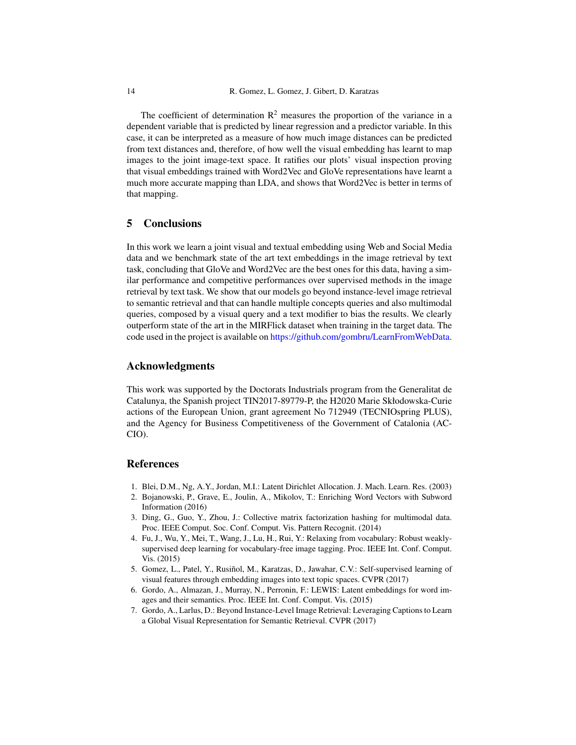The coefficient of determination  $\mathbb{R}^2$  measures the proportion of the variance in a dependent variable that is predicted by linear regression and a predictor variable. In this case, it can be interpreted as a measure of how much image distances can be predicted from text distances and, therefore, of how well the visual embedding has learnt to map images to the joint image-text space. It ratifies our plots' visual inspection proving that visual embeddings trained with Word2Vec and GloVe representations have learnt a much more accurate mapping than LDA, and shows that Word2Vec is better in terms of that mapping.

#### 5 Conclusions

In this work we learn a joint visual and textual embedding using Web and Social Media data and we benchmark state of the art text embeddings in the image retrieval by text task, concluding that GloVe and Word2Vec are the best ones for this data, having a similar performance and competitive performances over supervised methods in the image retrieval by text task. We show that our models go beyond instance-level image retrieval to semantic retrieval and that can handle multiple concepts queries and also multimodal queries, composed by a visual query and a text modifier to bias the results. We clearly outperform state of the art in the MIRFlick dataset when training in the target data. The code used in the project is available on https://github.com/gombru/LearnFromWebData.

#### Acknowledgments

This work was supported by the Doctorats Industrials program from the Generalitat de Catalunya, the Spanish project TIN2017-89779-P, the H2020 Marie Skłodowska-Curie actions of the European Union, grant agreement No 712949 (TECNIOspring PLUS), and the Agency for Business Competitiveness of the Government of Catalonia (AC-CIO).

## References

- 1. Blei, D.M., Ng, A.Y., Jordan, M.I.: Latent Dirichlet Allocation. J. Mach. Learn. Res. (2003)
- 2. Bojanowski, P., Grave, E., Joulin, A., Mikolov, T.: Enriching Word Vectors with Subword Information (2016)
- 3. Ding, G., Guo, Y., Zhou, J.: Collective matrix factorization hashing for multimodal data. Proc. IEEE Comput. Soc. Conf. Comput. Vis. Pattern Recognit. (2014)
- 4. Fu, J., Wu, Y., Mei, T., Wang, J., Lu, H., Rui, Y.: Relaxing from vocabulary: Robust weaklysupervised deep learning for vocabulary-free image tagging. Proc. IEEE Int. Conf. Comput. Vis. (2015)
- 5. Gomez, L., Patel, Y., Rusiñol, M., Karatzas, D., Jawahar, C.V.: Self-supervised learning of visual features through embedding images into text topic spaces. CVPR (2017)
- 6. Gordo, A., Almazan, J., Murray, N., Perronin, F.: LEWIS: Latent embeddings for word images and their semantics. Proc. IEEE Int. Conf. Comput. Vis. (2015)
- 7. Gordo, A., Larlus, D.: Beyond Instance-Level Image Retrieval: Leveraging Captions to Learn a Global Visual Representation for Semantic Retrieval. CVPR (2017)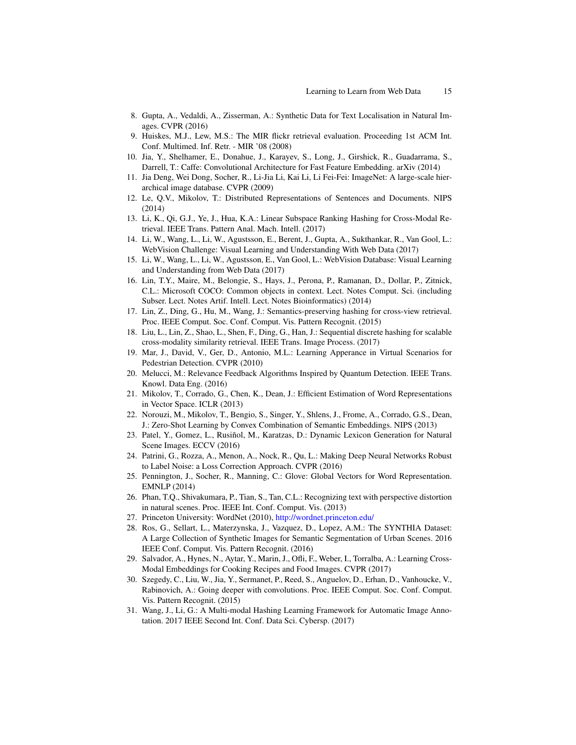- 8. Gupta, A., Vedaldi, A., Zisserman, A.: Synthetic Data for Text Localisation in Natural Images. CVPR (2016)
- 9. Huiskes, M.J., Lew, M.S.: The MIR flickr retrieval evaluation. Proceeding 1st ACM Int. Conf. Multimed. Inf. Retr. - MIR '08 (2008)
- 10. Jia, Y., Shelhamer, E., Donahue, J., Karayev, S., Long, J., Girshick, R., Guadarrama, S., Darrell, T.: Caffe: Convolutional Architecture for Fast Feature Embedding. arXiv (2014)
- 11. Jia Deng, Wei Dong, Socher, R., Li-Jia Li, Kai Li, Li Fei-Fei: ImageNet: A large-scale hierarchical image database. CVPR (2009)
- 12. Le, Q.V., Mikolov, T.: Distributed Representations of Sentences and Documents. NIPS (2014)
- 13. Li, K., Qi, G.J., Ye, J., Hua, K.A.: Linear Subspace Ranking Hashing for Cross-Modal Retrieval. IEEE Trans. Pattern Anal. Mach. Intell. (2017)
- 14. Li, W., Wang, L., Li, W., Agustsson, E., Berent, J., Gupta, A., Sukthankar, R., Van Gool, L.: WebVision Challenge: Visual Learning and Understanding With Web Data (2017)
- 15. Li, W., Wang, L., Li, W., Agustsson, E., Van Gool, L.: WebVision Database: Visual Learning and Understanding from Web Data (2017)
- 16. Lin, T.Y., Maire, M., Belongie, S., Hays, J., Perona, P., Ramanan, D., Dollar, P., Zitnick, C.L.: Microsoft COCO: Common objects in context. Lect. Notes Comput. Sci. (including Subser. Lect. Notes Artif. Intell. Lect. Notes Bioinformatics) (2014)
- 17. Lin, Z., Ding, G., Hu, M., Wang, J.: Semantics-preserving hashing for cross-view retrieval. Proc. IEEE Comput. Soc. Conf. Comput. Vis. Pattern Recognit. (2015)
- 18. Liu, L., Lin, Z., Shao, L., Shen, F., Ding, G., Han, J.: Sequential discrete hashing for scalable cross-modality similarity retrieval. IEEE Trans. Image Process. (2017)
- 19. Mar, J., David, V., Ger, D., Antonio, M.L.: Learning Apperance in Virtual Scenarios for Pedestrian Detection. CVPR (2010)
- 20. Melucci, M.: Relevance Feedback Algorithms Inspired by Quantum Detection. IEEE Trans. Knowl. Data Eng. (2016)
- 21. Mikolov, T., Corrado, G., Chen, K., Dean, J.: Efficient Estimation of Word Representations in Vector Space. ICLR (2013)
- 22. Norouzi, M., Mikolov, T., Bengio, S., Singer, Y., Shlens, J., Frome, A., Corrado, G.S., Dean, J.: Zero-Shot Learning by Convex Combination of Semantic Embeddings. NIPS (2013)
- 23. Patel, Y., Gomez, L., Rusiñol, M., Karatzas, D.: Dynamic Lexicon Generation for Natural Scene Images. ECCV (2016)
- 24. Patrini, G., Rozza, A., Menon, A., Nock, R., Qu, L.: Making Deep Neural Networks Robust to Label Noise: a Loss Correction Approach. CVPR (2016)
- 25. Pennington, J., Socher, R., Manning, C.: Glove: Global Vectors for Word Representation. EMNLP (2014)
- 26. Phan, T.Q., Shivakumara, P., Tian, S., Tan, C.L.: Recognizing text with perspective distortion in natural scenes. Proc. IEEE Int. Conf. Comput. Vis. (2013)
- 27. Princeton University: WordNet (2010), http://wordnet.princeton.edu/
- 28. Ros, G., Sellart, L., Materzynska, J., Vazquez, D., Lopez, A.M.: The SYNTHIA Dataset: A Large Collection of Synthetic Images for Semantic Segmentation of Urban Scenes. 2016 IEEE Conf. Comput. Vis. Pattern Recognit. (2016)
- 29. Salvador, A., Hynes, N., Aytar, Y., Marin, J., Ofli, F., Weber, I., Torralba, A.: Learning Cross-Modal Embeddings for Cooking Recipes and Food Images. CVPR (2017)
- 30. Szegedy, C., Liu, W., Jia, Y., Sermanet, P., Reed, S., Anguelov, D., Erhan, D., Vanhoucke, V., Rabinovich, A.: Going deeper with convolutions. Proc. IEEE Comput. Soc. Conf. Comput. Vis. Pattern Recognit. (2015)
- 31. Wang, J., Li, G.: A Multi-modal Hashing Learning Framework for Automatic Image Annotation. 2017 IEEE Second Int. Conf. Data Sci. Cybersp. (2017)